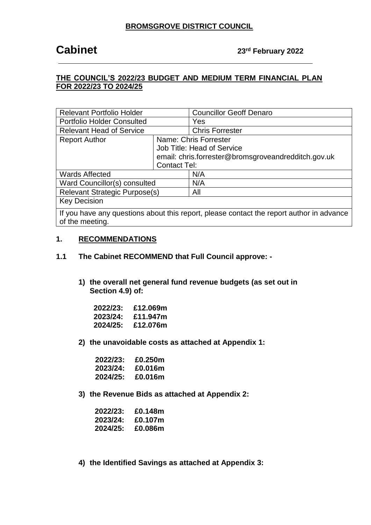### **THE COUNCIL'S 2022/23 BUDGET AND MEDIUM TERM FINANCIAL PLAN FOR 2022/23 TO 2024/25**

| <b>Relevant Portfolio Holder</b>         |                       | <b>Councillor Geoff Denaro</b>                      |
|------------------------------------------|-----------------------|-----------------------------------------------------|
| <b>Portfolio Holder Consulted</b><br>Yes |                       |                                                     |
| <b>Relevant Head of Service</b>          |                       | <b>Chris Forrester</b>                              |
| <b>Report Author</b>                     | Name: Chris Forrester |                                                     |
|                                          |                       | Job Title: Head of Service                          |
|                                          |                       | email: chris.forrester@bromsgroveandredditch.gov.uk |
| <b>Contact Tel:</b>                      |                       |                                                     |
| <b>Wards Affected</b>                    |                       | N/A                                                 |
| Ward Councillor(s) consulted             |                       | N/A                                                 |
| <b>Relevant Strategic Purpose(s)</b>     |                       | All                                                 |
| <b>Key Decision</b>                      |                       |                                                     |
| $\mathbf{r}$                             |                       |                                                     |

If you have any questions about this report, please contact the report author in advance of the meeting.

#### **1. RECOMMENDATIONS**

- **1.1 The Cabinet RECOMMEND that Full Council approve: -**
	- **1) the overall net general fund revenue budgets (as set out in Section 4.9) of:**

| 2022/23: | £12.069m |
|----------|----------|
| 2023/24: | £11.947m |
| 2024/25: | £12.076m |

**2) the unavoidable costs as attached at Appendix 1:**

| 2022/23: | £0.250m |
|----------|---------|
| 2023/24: | £0.016m |
| 2024/25: | £0.016m |

**3) the Revenue Bids as attached at Appendix 2:** 

| 2022/23: | £0.148m |
|----------|---------|
| 2023/24: | £0.107m |
| 2024/25: | £0.086m |

**4) the Identified Savings as attached at Appendix 3:**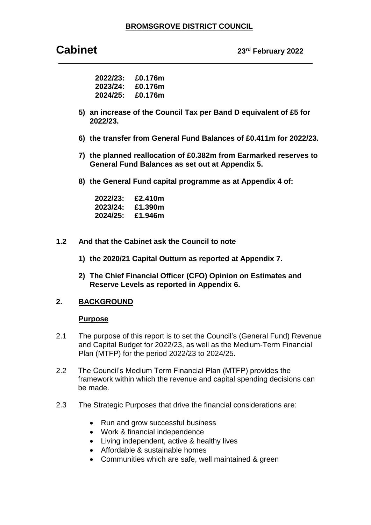**Cabinet 23rd February <sup>2022</sup>**

| 2022/23: | £0.176m |
|----------|---------|
| 2023/24: | £0.176m |
| 2024/25: | £0.176m |

- **5) an increase of the Council Tax per Band D equivalent of £5 for 2022/23.**
- **6) the transfer from General Fund Balances of £0.411m for 2022/23.**
- **7) the planned reallocation of £0.382m from Earmarked reserves to General Fund Balances as set out at Appendix 5.**
- **8) the General Fund capital programme as at Appendix 4 of:**

| 2022/23: | £2.410m |
|----------|---------|
| 2023/24: | £1.390m |
| 2024/25: | £1.946m |

- **1.2 And that the Cabinet ask the Council to note** 
	- **1) the 2020/21 Capital Outturn as reported at Appendix 7.**
	- **2) The Chief Financial Officer (CFO) Opinion on Estimates and Reserve Levels as reported in Appendix 6.**

#### **2. BACKGROUND**

#### **Purpose**

- 2.1 The purpose of this report is to set the Council's (General Fund) Revenue and Capital Budget for 2022/23, as well as the Medium-Term Financial Plan (MTFP) for the period 2022/23 to 2024/25.
- 2.2 The Council's Medium Term Financial Plan (MTFP) provides the framework within which the revenue and capital spending decisions can be made.
- 2.3 The Strategic Purposes that drive the financial considerations are:
	- Run and grow successful business
	- Work & financial independence
	- Living independent, active & healthy lives
	- Affordable & sustainable homes
	- Communities which are safe, well maintained & green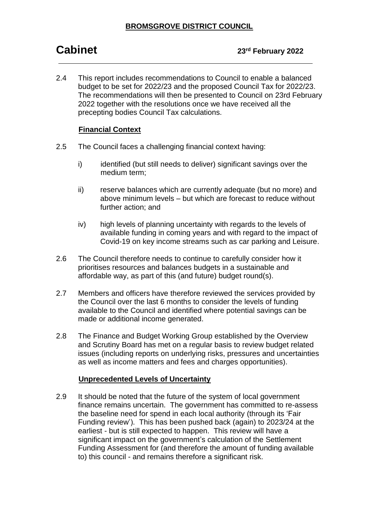2.4 This report includes recommendations to Council to enable a balanced budget to be set for 2022/23 and the proposed Council Tax for 2022/23. The recommendations will then be presented to Council on 23rd February 2022 together with the resolutions once we have received all the precepting bodies Council Tax calculations.

#### **Financial Context**

- 2.5 The Council faces a challenging financial context having:
	- i) identified (but still needs to deliver) significant savings over the medium term;
	- ii) reserve balances which are currently adequate (but no more) and above minimum levels – but which are forecast to reduce without further action; and
	- iv) high levels of planning uncertainty with regards to the levels of available funding in coming years and with regard to the impact of Covid-19 on key income streams such as car parking and Leisure.
- 2.6 The Council therefore needs to continue to carefully consider how it prioritises resources and balances budgets in a sustainable and affordable way, as part of this (and future) budget round(s).
- 2.7 Members and officers have therefore reviewed the services provided by the Council over the last 6 months to consider the levels of funding available to the Council and identified where potential savings can be made or additional income generated.
- 2.8 The Finance and Budget Working Group established by the Overview and Scrutiny Board has met on a regular basis to review budget related issues (including reports on underlying risks, pressures and uncertainties as well as income matters and fees and charges opportunities).

#### **Unprecedented Levels of Uncertainty**

2.9 It should be noted that the future of the system of local government finance remains uncertain. The government has committed to re-assess the baseline need for spend in each local authority (through its 'Fair Funding review'). This has been pushed back (again) to 2023/24 at the earliest - but is still expected to happen. This review will have a significant impact on the government's calculation of the Settlement Funding Assessment for (and therefore the amount of funding available to) this council - and remains therefore a significant risk.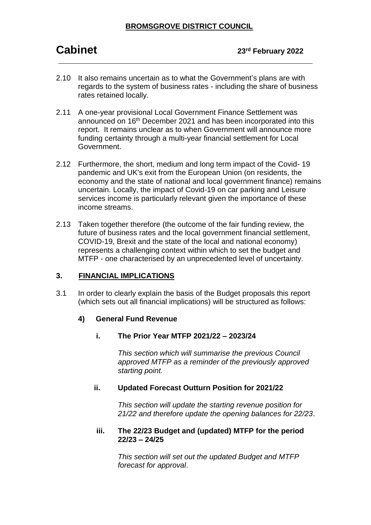## **Cabinet 23rd February <sup>2022</sup>**

- 2.10 It also remains uncertain as to what the Government's plans are with regards to the system of business rates - including the share of business rates retained locally.
- 2.11 A one-year provisional Local Government Finance Settlement was announced on 16<sup>th</sup> December 2021 and has been incorporated into this report. It remains unclear as to when Government will announce more funding certainty through a multi-year financial settlement for Local Government.
- 2.12 Furthermore, the short, medium and long term impact of the Covid- 19 pandemic and UK's exit from the European Union (on residents, the economy and the state of national and local government finance) remains uncertain. Locally, the impact of Covid-19 on car parking and Leisure services income is particularly relevant given the importance of these income streams.
- 2.13 Taken together therefore (the outcome of the fair funding review, the future of business rates and the local government financial settlement, COVID-19, Brexit and the state of the local and national economy) represents a challenging context within which to set the budget and MTFP - one characterised by an unprecedented level of uncertainty.

#### **3. FINANCIAL IMPLICATIONS**

3.1 In order to clearly explain the basis of the Budget proposals this report (which sets out all financial implications) will be structured as follows:

#### **4) General Fund Revenue**

**i. The Prior Year MTFP 2021/22 – 2023/24**

*This section which will summarise the previous Council approved MTFP as a reminder of the previously approved starting point.* 

#### **ii. Updated Forecast Outturn Position for 2021/22**

*This section will update the starting revenue position for 21/22 and therefore update the opening balances for 22/23*.

#### **iii. The 22/23 Budget and (updated) MTFP for the period 22/23 – 24/25**

*This section will set out the updated Budget and MTFP forecast for approval*.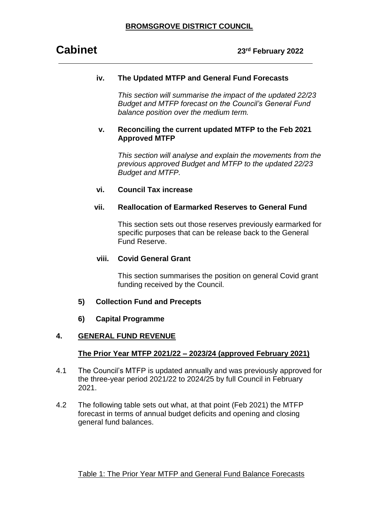#### **iv. The Updated MTFP and General Fund Forecasts**

*This section will summarise the impact of the updated 22/23 Budget and MTFP forecast on the Council's General Fund balance position over the medium term.*

#### **v. Reconciling the current updated MTFP to the Feb 2021 Approved MTFP**

*This section will analyse and explain the movements from the previous approved Budget and MTFP to the updated 22/23 Budget and MTFP.*

#### **vi. Council Tax increase**

#### **vii. Reallocation of Earmarked Reserves to General Fund**

This section sets out those reserves previously earmarked for specific purposes that can be release back to the General Fund Reserve.

#### **viii. Covid General Grant**

This section summarises the position on general Covid grant funding received by the Council.

#### **5) Collection Fund and Precepts**

#### **6) Capital Programme**

#### **4. GENERAL FUND REVENUE**

#### **The Prior Year MTFP 2021/22 – 2023/24 (approved February 2021)**

- 4.1 The Council's MTFP is updated annually and was previously approved for the three-year period 2021/22 to 2024/25 by full Council in February 2021.
- 4.2 The following table sets out what, at that point (Feb 2021) the MTFP forecast in terms of annual budget deficits and opening and closing general fund balances.

#### Table 1: The Prior Year MTFP and General Fund Balance Forecasts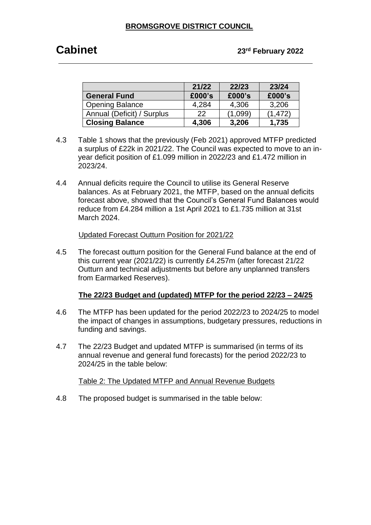## **Cabinet 23rd February <sup>2022</sup>**

|                            | 21/22  | 22/23   | 23/24    |
|----------------------------|--------|---------|----------|
| <b>General Fund</b>        | £000's | £000's  | £000's   |
| <b>Opening Balance</b>     | 4,284  | 4,306   | 3,206    |
| Annual (Deficit) / Surplus | 22     | (1.099) | (1, 472) |
| <b>Closing Balance</b>     | 4,306  | 3,206   | 1,735    |

- 4.3 Table 1 shows that the previously (Feb 2021) approved MTFP predicted a surplus of £22k in 2021/22. The Council was expected to move to an inyear deficit position of £1.099 million in 2022/23 and £1.472 million in 2023/24.
- 4.4 Annual deficits require the Council to utilise its General Reserve balances. As at February 2021, the MTFP, based on the annual deficits forecast above, showed that the Council's General Fund Balances would reduce from £4.284 million a 1st April 2021 to £1.735 million at 31st March 2024.

#### Updated Forecast Outturn Position for 2021/22

4.5 The forecast outturn position for the General Fund balance at the end of this current year (2021/22) is currently £4.257m (after forecast 21/22 Outturn and technical adjustments but before any unplanned transfers from Earmarked Reserves).

#### **The 22/23 Budget and (updated) MTFP for the period 22/23 – 24/25**

- 4.6 The MTFP has been updated for the period 2022/23 to 2024/25 to model the impact of changes in assumptions, budgetary pressures, reductions in funding and savings.
- 4.7 The 22/23 Budget and updated MTFP is summarised (in terms of its annual revenue and general fund forecasts) for the period 2022/23 to 2024/25 in the table below:

Table 2: The Updated MTFP and Annual Revenue Budgets

4.8 The proposed budget is summarised in the table below: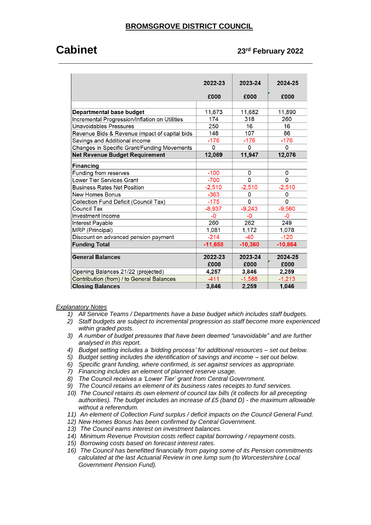## **Cabinet 23rd February <sup>2022</sup>**

|                                                | 2022-23   | 2023-24   | 2024-25   |
|------------------------------------------------|-----------|-----------|-----------|
|                                                | £000      | £000      | £000      |
|                                                |           |           |           |
| <b>Departmental base budget</b>                | 11,673    | 11,682    | 11,890    |
| Incremental Progression/Inflation on Utilities | 174       | 318       | 260       |
| <b>Unavoidables Pressures</b>                  | 250       | 16        | 16        |
| Revenue Bids & Revenue impact of capital bids  | 148       | 107       | 86        |
| Savings and Additional income                  | $-176$    | $-176$    | $-176$    |
| Changes in Specific Grant/Funding Movements    | $\Omega$  | 0         | 0         |
| <b>Net Revenue Budget Requirement</b>          | 12,069    | 11,947    | 12,076    |
| <b>Financing</b>                               |           |           |           |
| <b>Funding from reserves</b>                   | $-100$    | 0         | 0         |
| <b>Lower Tier Services Grant</b>               | $-700$    | $\Omega$  | $\Omega$  |
| <b>Business Rates Net Position</b>             | $-2,510$  | $-2,510$  | $-2,510$  |
| <b>New Homes Bonus</b>                         | $-363$    | 0         | 0         |
| <b>Collection Fund Deficit (Council Tax)</b>   | $-175$    | $\Omega$  | $\Omega$  |
| <b>Council Tax</b>                             | $-8,937$  | $-9,243$  | $-9,560$  |
| <b>Investment Income</b>                       | $-0$      | -0        | $-0$      |
| Interest Payable                               | 260       | 262       | 249       |
| <b>MRP</b> (Principal)                         | 1,081     | 1,172     | 1,078     |
| Discount on advanced pension payment           | $-214$    | $-40$     | $-120$    |
| <b>Funding Total</b>                           | $-11,658$ | $-10,360$ | $-10,864$ |
|                                                |           |           |           |
| <b>General Balances</b>                        | 2022-23   | 2023-24   | 2024-25   |
|                                                | £000      | £000      | £000      |
| Opening Balances 21/22 (projected)             | 4,257     | 3,846     | 2,259     |
| Contribution (from) / to General Balances      | $-411$    | $-1.588$  | $-1,213$  |
| <b>Closing Balances</b>                        | 3,846     | 2,259     | 1,046     |

#### *Explanatory Notes*

- *1) All Service Teams / Departments have a base budget which includes staff budgets.*
- *2) Staff budgets are subject to incremental progression as staff become more experienced within graded posts.*
- *3) A number of budget pressures that have been deemed "unavoidable" and are further analysed in this report.*
- *4) Budget setting includes a 'bidding process' for additional resources – set out below.*
- *5) Budget setting includes the identification of savings and income – set out below.*
- *6) Specific grant funding, where confirmed, is set against services as appropriate.*
- *7) Financing includes an element of planned reserve usage.*
- *8) The Council receives a 'Lower Tier' grant from Central Government.*
- *9) The Council retains an element of its business rates receipts to fund services.*
- *10) The Council retains its own element of council tax bills (it collects for all precepting authorities). The budget includes an increase of £5 (band D) - the maximum allowable without a referendum.*
- *11) An element of Collection Fund surplus / deficit impacts on the Council General Fund.*
- *12) New Homes Bonus has been confirmed by Central Government.*
- *13) The Council earns interest on investment balances.*
- *14) Minimum Revenue Provision costs reflect capital borrowing / repayment costs.*
- *15) Borrowing costs based on forecast interest rates.*
- *16) The Council has benefitted financially from paying some of its Pension commitments calculated at the last Actuarial Review in one lump sum (to Worcestershire Local Government Pension Fund).*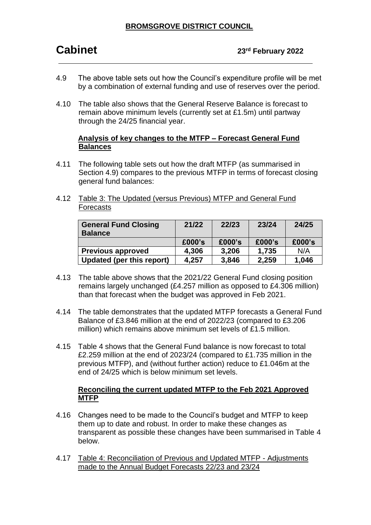- 4.9 The above table sets out how the Council's expenditure profile will be met by a combination of external funding and use of reserves over the period.
- 4.10 The table also shows that the General Reserve Balance is forecast to remain above minimum levels (currently set at £1.5m) until partway through the 24/25 financial year.

#### **Analysis of key changes to the MTFP – Forecast General Fund Balances**

- 4.11 The following table sets out how the draft MTFP (as summarised in Section 4.9) compares to the previous MTFP in terms of forecast closing general fund balances:
- 4.12 Table 3: The Updated (versus Previous) MTFP and General Fund Forecasts

| <b>General Fund Closing</b><br><b>Balance</b> | 21/22  | 22/23  | 23/24  | 24/25  |
|-----------------------------------------------|--------|--------|--------|--------|
|                                               | £000's | £000's | £000's | £000's |
| <b>Previous approved</b>                      | 4,306  | 3,206  | 1,735  | N/A    |
| Updated (per this report)                     | 4,257  | 3,846  | 2,259  | 1,046  |

- 4.13 The table above shows that the 2021/22 General Fund closing position remains largely unchanged (£4.257 million as opposed to £4.306 million) than that forecast when the budget was approved in Feb 2021.
- 4.14 The table demonstrates that the updated MTFP forecasts a General Fund Balance of £3.846 million at the end of 2022/23 (compared to £3.206 million) which remains above minimum set levels of £1.5 million.
- 4.15 Table 4 shows that the General Fund balance is now forecast to total £2.259 million at the end of 2023/24 (compared to £1.735 million in the previous MTFP), and (without further action) reduce to £1.046m at the end of 24/25 which is below minimum set levels.

#### **Reconciling the current updated MTFP to the Feb 2021 Approved MTFP**

- 4.16 Changes need to be made to the Council's budget and MTFP to keep them up to date and robust. In order to make these changes as transparent as possible these changes have been summarised in Table 4 below.
- 4.17 Table 4: Reconciliation of Previous and Updated MTFP Adjustments made to the Annual Budget Forecasts 22/23 and 23/24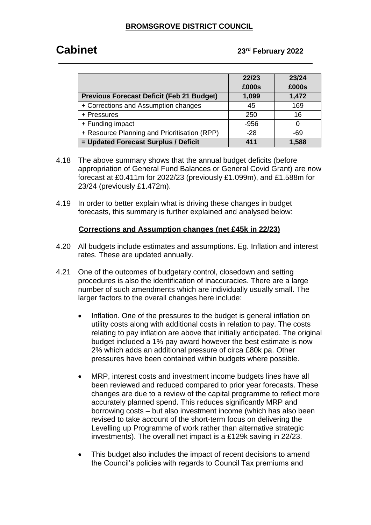## **Cabinet 23rd February <sup>2022</sup>**

|                                                  | 22/23  | 23/24 |
|--------------------------------------------------|--------|-------|
|                                                  | £000s  | £000s |
| <b>Previous Forecast Deficit (Feb 21 Budget)</b> | 1,099  | 1,472 |
| + Corrections and Assumption changes             | 45     | 169   |
| + Pressures                                      | 250    | 16    |
| + Funding impact                                 | $-956$ |       |
| + Resource Planning and Prioritisation (RPP)     | $-28$  | -69   |
| = Updated Forecast Surplus / Deficit             | 411    | 1,588 |

- 4.18 The above summary shows that the annual budget deficits (before appropriation of General Fund Balances or General Covid Grant) are now forecast at £0.411m for 2022/23 (previously £1.099m), and £1.588m for 23/24 (previously £1.472m).
- 4.19 In order to better explain what is driving these changes in budget forecasts, this summary is further explained and analysed below:

#### **Corrections and Assumption changes (net £45k in 22/23)**

- 4.20 All budgets include estimates and assumptions. Eg. Inflation and interest rates. These are updated annually.
- 4.21 One of the outcomes of budgetary control, closedown and setting procedures is also the identification of inaccuracies. There are a large number of such amendments which are individually usually small. The larger factors to the overall changes here include:
	- Inflation. One of the pressures to the budget is general inflation on utility costs along with additional costs in relation to pay. The costs relating to pay inflation are above that initially anticipated. The original budget included a 1% pay award however the best estimate is now 2% which adds an additional pressure of circa £80k pa. Other pressures have been contained within budgets where possible.
	- MRP, interest costs and investment income budgets lines have all been reviewed and reduced compared to prior year forecasts. These changes are due to a review of the capital programme to reflect more accurately planned spend. This reduces significantly MRP and borrowing costs – but also investment income (which has also been revised to take account of the short-term focus on delivering the Levelling up Programme of work rather than alternative strategic investments). The overall net impact is a £129k saving in 22/23.
	- This budget also includes the impact of recent decisions to amend the Council's policies with regards to Council Tax premiums and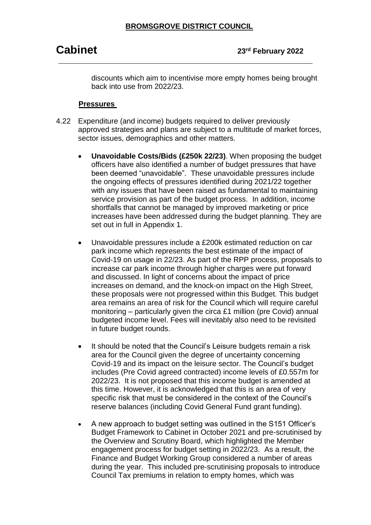discounts which aim to incentivise more empty homes being brought back into use from 2022/23.

#### **Pressures**

- 4.22 Expenditure (and income) budgets required to deliver previously approved strategies and plans are subject to a multitude of market forces, sector issues, demographics and other matters.
	- **Unavoidable Costs/Bids (£250k 22/23)**. When proposing the budget officers have also identified a number of budget pressures that have been deemed "unavoidable". These unavoidable pressures include the ongoing effects of pressures identified during 2021/22 together with any issues that have been raised as fundamental to maintaining service provision as part of the budget process. In addition, income shortfalls that cannot be managed by improved marketing or price increases have been addressed during the budget planning. They are set out in full in Appendix 1.
	- Unavoidable pressures include a £200k estimated reduction on car park income which represents the best estimate of the impact of Covid-19 on usage in 22/23. As part of the RPP process, proposals to increase car park income through higher charges were put forward and discussed. In light of concerns about the impact of price increases on demand, and the knock-on impact on the High Street, these proposals were not progressed within this Budget. This budget area remains an area of risk for the Council which will require careful monitoring – particularly given the circa £1 million (pre Covid) annual budgeted income level. Fees will inevitably also need to be revisited in future budget rounds.
	- It should be noted that the Council's Leisure budgets remain a risk area for the Council given the degree of uncertainty concerning Covid-19 and its impact on the leisure sector. The Council's budget includes (Pre Covid agreed contracted) income levels of £0.557m for 2022/23. It is not proposed that this income budget is amended at this time. However, it is acknowledged that this is an area of very specific risk that must be considered in the context of the Council's reserve balances (including Covid General Fund grant funding).
	- A new approach to budget setting was outlined in the S151 Officer's Budget Framework to Cabinet in October 2021 and pre-scrutinised by the Overview and Scrutiny Board, which highlighted the Member engagement process for budget setting in 2022/23. As a result, the Finance and Budget Working Group considered a number of areas during the year. This included pre-scrutinising proposals to introduce Council Tax premiums in relation to empty homes, which was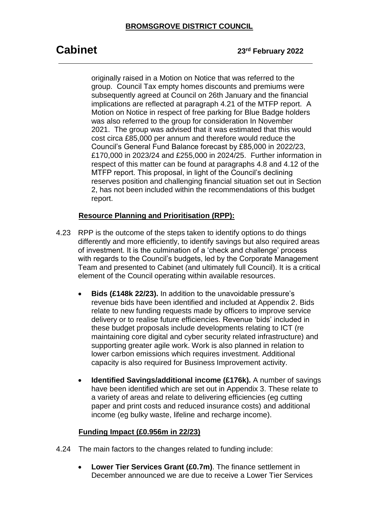# **Cabinet 23rd February <sup>2022</sup>**

originally raised in a Motion on Notice that was referred to the group. Council Tax empty homes discounts and premiums were subsequently agreed at Council on 26th January and the financial implications are reflected at paragraph 4.21 of the MTFP report. A Motion on Notice in respect of free parking for Blue Badge holders was also referred to the group for consideration In November 2021. The group was advised that it was estimated that this would cost circa £85,000 per annum and therefore would reduce the Council's General Fund Balance forecast by £85,000 in 2022/23, £170,000 in 2023/24 and £255,000 in 2024/25. Further information in respect of this matter can be found at paragraphs 4.8 and 4.12 of the MTFP report. This proposal, in light of the Council's declining reserves position and challenging financial situation set out in Section 2, has not been included within the recommendations of this budget report.

#### **Resource Planning and Prioritisation (RPP):**

- 4.23 RPP is the outcome of the steps taken to identify options to do things differently and more efficiently, to identify savings but also required areas of investment. It is the culmination of a 'check and challenge' process with regards to the Council's budgets, led by the Corporate Management Team and presented to Cabinet (and ultimately full Council). It is a critical element of the Council operating within available resources.
	- **Bids (£148k 22/23).** In addition to the unavoidable pressure's revenue bids have been identified and included at Appendix 2. Bids relate to new funding requests made by officers to improve service delivery or to realise future efficiencies. Revenue 'bids' included in these budget proposals include developments relating to ICT (re maintaining core digital and cyber security related infrastructure) and supporting greater agile work. Work is also planned in relation to lower carbon emissions which requires investment. Additional capacity is also required for Business Improvement activity.
	- **Identified Savings/additional income (£176k).** A number of savings have been identified which are set out in Appendix 3. These relate to a variety of areas and relate to delivering efficiencies (eg cutting paper and print costs and reduced insurance costs) and additional income (eg bulky waste, lifeline and recharge income).

#### **Funding Impact (£0.956m in 22/23)**

- 4.24 The main factors to the changes related to funding include:
	- **Lower Tier Services Grant (£0.7m)**. The finance settlement in December announced we are due to receive a Lower Tier Services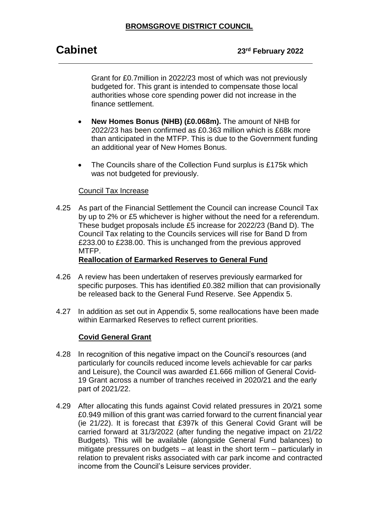Grant for £0.7million in 2022/23 most of which was not previously budgeted for. This grant is intended to compensate those local authorities whose core spending power did not increase in the finance settlement.

- **New Homes Bonus (NHB) (£0.068m).** The amount of NHB for 2022/23 has been confirmed as £0.363 million which is £68k more than anticipated in the MTFP. This is due to the Government funding an additional year of New Homes Bonus.
- The Councils share of the Collection Fund surplus is £175k which was not budgeted for previously.

#### Council Tax Increase

4.25 As part of the Financial Settlement the Council can increase Council Tax by up to 2% or £5 whichever is higher without the need for a referendum. These budget proposals include £5 increase for 2022/23 (Band D). The Council Tax relating to the Councils services will rise for Band D from £233.00 to £238.00. This is unchanged from the previous approved MTFP.

#### **Reallocation of Earmarked Reserves to General Fund**

- 4.26 A review has been undertaken of reserves previously earmarked for specific purposes. This has identified £0.382 million that can provisionally be released back to the General Fund Reserve. See Appendix 5.
- 4.27 In addition as set out in Appendix 5, some reallocations have been made within Earmarked Reserves to reflect current priorities.

#### **Covid General Grant**

- 4.28 In recognition of this negative impact on the Council's resources (and particularly for councils reduced income levels achievable for car parks and Leisure), the Council was awarded £1.666 million of General Covid-19 Grant across a number of tranches received in 2020/21 and the early part of 2021/22.
- 4.29 After allocating this funds against Covid related pressures in 20/21 some £0.949 million of this grant was carried forward to the current financial year (ie 21/22). It is forecast that £397k of this General Covid Grant will be carried forward at 31/3/2022 (after funding the negative impact on 21/22 Budgets). This will be available (alongside General Fund balances) to mitigate pressures on budgets – at least in the short term – particularly in relation to prevalent risks associated with car park income and contracted income from the Council's Leisure services provider.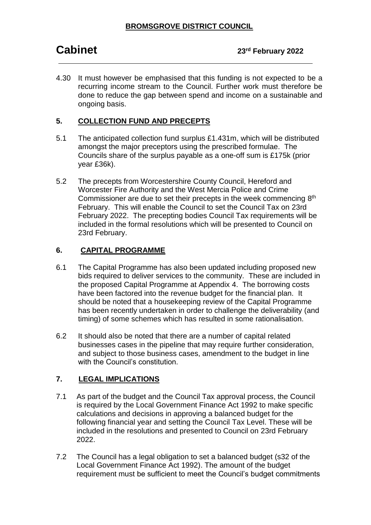4.30 It must however be emphasised that this funding is not expected to be a recurring income stream to the Council. Further work must therefore be done to reduce the gap between spend and income on a sustainable and ongoing basis.

### **5. COLLECTION FUND AND PRECEPTS**

- 5.1 The anticipated collection fund surplus £1.431m, which will be distributed amongst the major preceptors using the prescribed formulae. The Councils share of the surplus payable as a one-off sum is £175k (prior year £36k).
- 5.2 The precepts from Worcestershire County Council, Hereford and Worcester Fire Authority and the West Mercia Police and Crime Commissioner are due to set their precepts in the week commencing  $8<sup>th</sup>$ February. This will enable the Council to set the Council Tax on 23rd February 2022. The precepting bodies Council Tax requirements will be included in the formal resolutions which will be presented to Council on 23rd February.

### **6. CAPITAL PROGRAMME**

- 6.1 The Capital Programme has also been updated including proposed new bids required to deliver services to the community. These are included in the proposed Capital Programme at Appendix 4. The borrowing costs have been factored into the revenue budget for the financial plan. It should be noted that a housekeeping review of the Capital Programme has been recently undertaken in order to challenge the deliverability (and timing) of some schemes which has resulted in some rationalisation.
- 6.2 It should also be noted that there are a number of capital related businesses cases in the pipeline that may require further consideration, and subject to those business cases, amendment to the budget in line with the Council's constitution.

### **7. LEGAL IMPLICATIONS**

- 7.1 As part of the budget and the Council Tax approval process, the Council is required by the Local Government Finance Act 1992 to make specific calculations and decisions in approving a balanced budget for the following financial year and setting the Council Tax Level. These will be included in the resolutions and presented to Council on 23rd February 2022.
- 7.2 The Council has a legal obligation to set a balanced budget (s32 of the Local Government Finance Act 1992). The amount of the budget requirement must be sufficient to meet the Council's budget commitments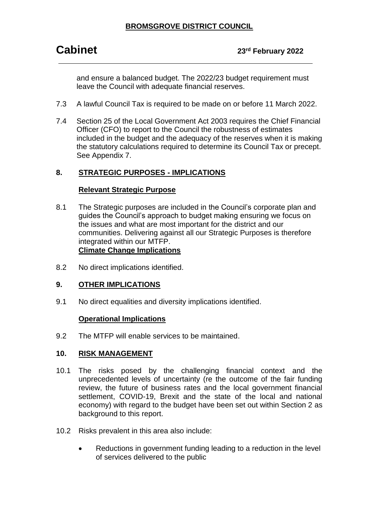## **Cabinet 23rd February <sup>2022</sup>**

and ensure a balanced budget. The 2022/23 budget requirement must leave the Council with adequate financial reserves.

- 7.3 A lawful Council Tax is required to be made on or before 11 March 2022.
- 7.4 Section 25 of the Local Government Act 2003 requires the Chief Financial Officer (CFO) to report to the Council the robustness of estimates included in the budget and the adequacy of the reserves when it is making the statutory calculations required to determine its Council Tax or precept. See Appendix 7.

#### **8. STRATEGIC PURPOSES - IMPLICATIONS**

#### **Relevant Strategic Purpose**

- 8.1 The Strategic purposes are included in the Council's corporate plan and guides the Council's approach to budget making ensuring we focus on the issues and what are most important for the district and our communities. Delivering against all our Strategic Purposes is therefore integrated within our MTFP. **Climate Change Implications**
- 8.2 No direct implications identified.

#### **9. OTHER IMPLICATIONS**

9.1 No direct equalities and diversity implications identified.

#### **Operational Implications**

9.2 The MTFP will enable services to be maintained.

#### **10. RISK MANAGEMENT**

- 10.1 The risks posed by the challenging financial context and the unprecedented levels of uncertainty (re the outcome of the fair funding review, the future of business rates and the local government financial settlement, COVID-19, Brexit and the state of the local and national economy) with regard to the budget have been set out within Section 2 as background to this report.
- 10.2 Risks prevalent in this area also include:
	- Reductions in government funding leading to a reduction in the level of services delivered to the public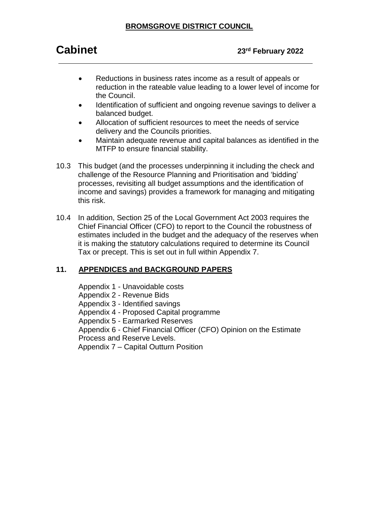- Reductions in business rates income as a result of appeals or reduction in the rateable value leading to a lower level of income for the Council.
- Identification of sufficient and ongoing revenue savings to deliver a balanced budget.
- Allocation of sufficient resources to meet the needs of service delivery and the Councils priorities.
- Maintain adequate revenue and capital balances as identified in the MTFP to ensure financial stability.
- 10.3 This budget (and the processes underpinning it including the check and challenge of the Resource Planning and Prioritisation and 'bidding' processes, revisiting all budget assumptions and the identification of income and savings) provides a framework for managing and mitigating this risk.
- 10.4 In addition, Section 25 of the Local Government Act 2003 requires the Chief Financial Officer (CFO) to report to the Council the robustness of estimates included in the budget and the adequacy of the reserves when it is making the statutory calculations required to determine its Council Tax or precept. This is set out in full within Appendix 7.

### **11. APPENDICES and BACKGROUND PAPERS**

Appendix 1 - Unavoidable costs

Appendix 2 - Revenue Bids

Appendix 3 - Identified savings

Appendix 4 - Proposed Capital programme

Appendix 5 - Earmarked Reserves

Appendix 6 - Chief Financial Officer (CFO) Opinion on the Estimate

Process and Reserve Levels.

Appendix 7 – Capital Outturn Position